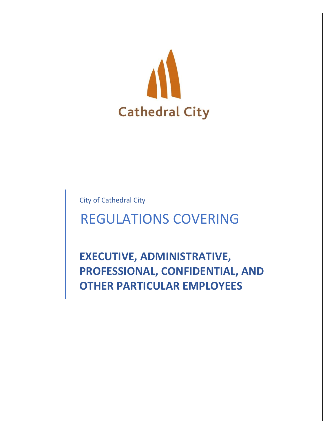

City of Cathedral City

# REGULATIONS COVERING

**EXECUTIVE, ADMINISTRATIVE, PROFESSIONAL, CONFIDENTIAL, AND OTHER PARTICULAR EMPLOYEES**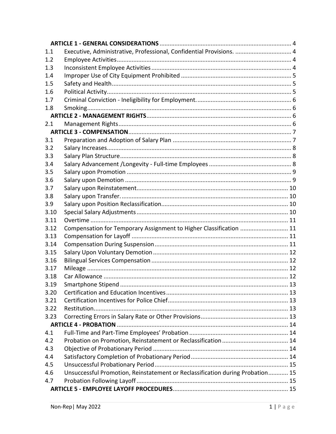| 1.1  | Executive, Administrative, Professional, Confidential Provisions.  4          |  |
|------|-------------------------------------------------------------------------------|--|
| 1.2  |                                                                               |  |
| 1.3  |                                                                               |  |
| 1.4  |                                                                               |  |
| 1.5  |                                                                               |  |
| 1.6  |                                                                               |  |
| 1.7  |                                                                               |  |
| 1.8  |                                                                               |  |
|      |                                                                               |  |
| 2.1  |                                                                               |  |
|      |                                                                               |  |
| 3.1  |                                                                               |  |
| 3.2  |                                                                               |  |
| 3.3  |                                                                               |  |
| 3.4  |                                                                               |  |
| 3.5  |                                                                               |  |
| 3.6  |                                                                               |  |
| 3.7  |                                                                               |  |
| 3.8  |                                                                               |  |
| 3.9  |                                                                               |  |
| 3.10 |                                                                               |  |
| 3.11 |                                                                               |  |
| 3.12 | Compensation for Temporary Assignment to Higher Classification  11            |  |
| 3.13 |                                                                               |  |
| 3.14 |                                                                               |  |
| 3.15 |                                                                               |  |
| 3.16 |                                                                               |  |
| 3.17 |                                                                               |  |
| 3.18 |                                                                               |  |
| 3.19 |                                                                               |  |
| 3.20 |                                                                               |  |
| 3.21 |                                                                               |  |
| 3.22 |                                                                               |  |
| 3.23 |                                                                               |  |
|      |                                                                               |  |
| 4.1  |                                                                               |  |
| 4.2  |                                                                               |  |
| 4.3  |                                                                               |  |
| 4.4  |                                                                               |  |
| 4.5  |                                                                               |  |
| 4.6  | Unsuccessful Promotion, Reinstatement or Reclassification during Probation 15 |  |
| 4.7  |                                                                               |  |
|      |                                                                               |  |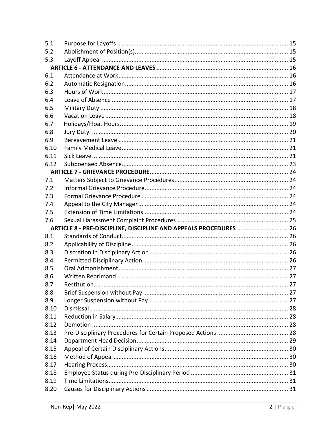| 5.1          |                                                                   |  |
|--------------|-------------------------------------------------------------------|--|
| 5.2          |                                                                   |  |
| 5.3          |                                                                   |  |
|              |                                                                   |  |
| 6.1          |                                                                   |  |
| 6.2          |                                                                   |  |
| 6.3          |                                                                   |  |
| 6.4          |                                                                   |  |
| 6.5          |                                                                   |  |
| 6.6          |                                                                   |  |
| 6.7          |                                                                   |  |
| 6.8          |                                                                   |  |
| 6.9          |                                                                   |  |
| 6.10         |                                                                   |  |
| 6.11         |                                                                   |  |
| 6.12         |                                                                   |  |
|              |                                                                   |  |
| 7.1          |                                                                   |  |
| 7.2          |                                                                   |  |
| 7.3          |                                                                   |  |
| 7.4          |                                                                   |  |
| 7.5          |                                                                   |  |
| 7.6          |                                                                   |  |
|              | ARTICLE 8 - PRE-DISCIPLINE, DISCIPLINE AND APPEALS PROCEDURES  26 |  |
| 8.1          |                                                                   |  |
| 8.2          |                                                                   |  |
| 8.3          |                                                                   |  |
| 8.4          |                                                                   |  |
| 8.5          |                                                                   |  |
| 8.6          |                                                                   |  |
| 8.7          |                                                                   |  |
| 8.8          |                                                                   |  |
| 8.9          |                                                                   |  |
| 8.10         |                                                                   |  |
|              |                                                                   |  |
| 8.11         |                                                                   |  |
| 8.12         |                                                                   |  |
| 8.13         |                                                                   |  |
| 8.14         |                                                                   |  |
| 8.15         |                                                                   |  |
| 8.16         |                                                                   |  |
| 8.17         |                                                                   |  |
| 8.18         |                                                                   |  |
| 8.19<br>8.20 |                                                                   |  |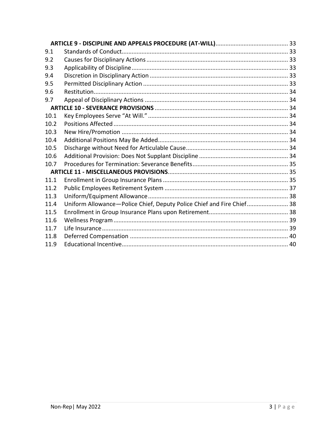| 9.1  |                                                                       |  |
|------|-----------------------------------------------------------------------|--|
| 9.2  |                                                                       |  |
| 9.3  |                                                                       |  |
| 9.4  |                                                                       |  |
| 9.5  |                                                                       |  |
| 9.6  |                                                                       |  |
| 9.7  |                                                                       |  |
|      |                                                                       |  |
| 10.1 |                                                                       |  |
| 10.2 |                                                                       |  |
| 10.3 |                                                                       |  |
| 10.4 |                                                                       |  |
| 10.5 |                                                                       |  |
| 10.6 |                                                                       |  |
| 10.7 |                                                                       |  |
|      |                                                                       |  |
| 11.1 |                                                                       |  |
| 11.2 |                                                                       |  |
| 11.3 |                                                                       |  |
| 11.4 | Uniform Allowance-Police Chief, Deputy Police Chief and Fire Chief 38 |  |
| 11.5 |                                                                       |  |
| 11.6 |                                                                       |  |
| 11.7 |                                                                       |  |
| 11.8 |                                                                       |  |
| 11.9 |                                                                       |  |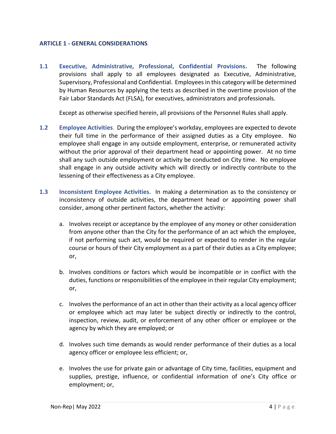#### <span id="page-4-0"></span>**ARTICLE 1 - GENERAL CONSIDERATIONS**

<span id="page-4-1"></span>**1.1 Executive, Administrative, Professional, Confidential Provisions.** The following provisions shall apply to all employees designated as Executive, Administrative, Supervisory, Professional and Confidential. Employees in this category will be determined by Human Resources by applying the tests as described in the overtime provision of the Fair Labor Standards Act (FLSA), for executives, administrators and professionals.

Except as otherwise specified herein, all provisions of the Personnel Rules shall apply.

- <span id="page-4-2"></span>**1.2 Employee Activities**. During the employee's workday, employees are expected to devote their full time in the performance of their assigned duties as a City employee. No employee shall engage in any outside employment, enterprise, or remunerated activity without the prior approval of their department head or appointing power. At no time shall any such outside employment or activity be conducted on City time. No employee shall engage in any outside activity which will directly or indirectly contribute to the lessening of their effectiveness as a City employee.
- <span id="page-4-3"></span>**1.3 Inconsistent Employee Activities**. In making a determination as to the consistency or inconsistency of outside activities, the department head or appointing power shall consider, among other pertinent factors, whether the activity:
	- a. Involves receipt or acceptance by the employee of any money or other consideration from anyone other than the City for the performance of an act which the employee, if not performing such act, would be required or expected to render in the regular course or hours of their City employment as a part of their duties as a City employee; or,
	- b. Involves conditions or factors which would be incompatible or in conflict with the duties, functions or responsibilities of the employee in their regular City employment; or,
	- c. Involves the performance of an act in other than their activity as a local agency officer or employee which act may later be subject directly or indirectly to the control, inspection, review, audit, or enforcement of any other officer or employee or the agency by which they are employed; or
	- d. Involves such time demands as would render performance of their duties as a local agency officer or employee less efficient; or,
	- e. Involves the use for private gain or advantage of City time, facilities, equipment and supplies, prestige, influence, or confidential information of one's City office or employment; or,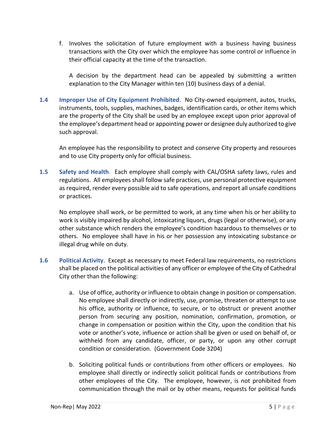f. Involves the solicitation of future employment with a business having business transactions with the City over which the employee has some control or influence in their official capacity at the time of the transaction.

A decision by the department head can be appealed by submitting a written explanation to the City Manager within ten (10) business days of a denial.

<span id="page-5-0"></span>**1.4 Improper Use of City Equipment Prohibited**. No City-owned equipment, autos, trucks, instruments, tools, supplies, machines, badges, identification cards, or other items which are the property of the City shall be used by an employee except upon prior approval of the employee's department head or appointing power or designee duly authorized to give such approval.

An employee has the responsibility to protect and conserve City property and resources and to use City property only for official business.

<span id="page-5-1"></span>**1.5 Safety and Health**. Each employee shall comply with CAL/OSHA safety laws, rules and regulations. All employees shall follow safe practices, use personal protective equipment as required, render every possible aid to safe operations, and report all unsafe conditions or practices.

No employee shall work, or be permitted to work, at any time when his or her ability to work is visibly impaired by alcohol, intoxicating liquors, drugs (legal or otherwise), or any other substance which renders the employee's condition hazardous to themselves or to others. No employee shall have in his or her possession any intoxicating substance or illegal drug while on duty.

- <span id="page-5-2"></span>**1.6 Political Activity**. Except as necessary to meet Federal law requirements, no restrictions shall be placed on the political activities of any officer or employee of the City of Cathedral City other than the following:
	- a. Use of office, authority or influence to obtain change in position or compensation. No employee shall directly or indirectly, use, promise, threaten or attempt to use his office, authority or influence, to secure, or to obstruct or prevent another person from securing any position, nomination, confirmation, promotion, or change in compensation or position within the City, upon the condition that his vote or another's vote, influence or action shall be given or used on behalf of, or withheld from any candidate, officer, or party, or upon any other corrupt condition or consideration. (Government Code 3204)
	- b. Soliciting political funds or contributions from other officers or employees. No employee shall directly or indirectly solicit political funds or contributions from other employees of the City. The employee, however, is not prohibited from communication through the mail or by other means, requests for political funds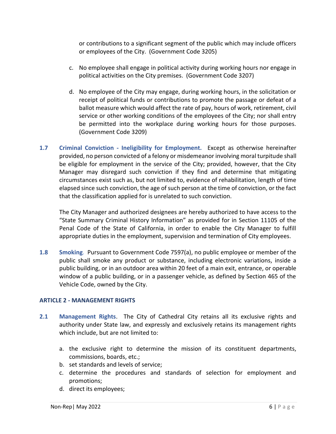or contributions to a significant segment of the public which may include officers or employees of the City. (Government Code 3205)

- c. No employee shall engage in political activity during working hours nor engage in political activities on the City premises. (Government Code 3207)
- d. No employee of the City may engage, during working hours, in the solicitation or receipt of political funds or contributions to promote the passage or defeat of a ballot measure which would affect the rate of pay, hours of work, retirement, civil service or other working conditions of the employees of the City; nor shall entry be permitted into the workplace during working hours for those purposes. (Government Code 3209)
- <span id="page-6-0"></span>**1.7 Criminal Conviction - Ineligibility for Employment.** Except as otherwise hereinafter provided, no person convicted of a felony or misdemeanor involving moral turpitude shall be eligible for employment in the service of the City; provided, however, that the City Manager may disregard such conviction if they find and determine that mitigating circumstances exist such as, but not limited to, evidence of rehabilitation, length of time elapsed since such conviction, the age of such person at the time of conviction, or the fact that the classification applied for is unrelated to such conviction.

The City Manager and authorized designees are hereby authorized to have access to the "State Summary Criminal History Information" as provided for in Section 11105 of the Penal Code of the State of California, in order to enable the City Manager to fulfill appropriate duties in the employment, supervision and termination of City employees.

<span id="page-6-1"></span>**1.8 Smoking**. Pursuant to Government Code 7597(a), no public employee or member of the public shall smoke any product or substance, including electronic variations, inside a public building, or in an outdoor area within 20 feet of a main exit, entrance, or operable window of a public building, or in a passenger vehicle, as defined by Section 465 of the Vehicle Code, owned by the City.

# <span id="page-6-2"></span>**ARTICLE 2 - MANAGEMENT RIGHTS**

- <span id="page-6-3"></span>**2.1 Management Rights**. The City of Cathedral City retains all its exclusive rights and authority under State law, and expressly and exclusively retains its management rights which include, but are not limited to:
	- a. the exclusive right to determine the mission of its constituent departments, commissions, boards, etc.;
	- b. set standards and levels of service;
	- c. determine the procedures and standards of selection for employment and promotions;
	- d. direct its employees;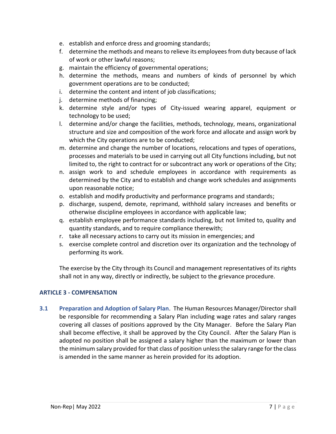- e. establish and enforce dress and grooming standards;
- f. determine the methods and means to relieve its employees from duty because of lack of work or other lawful reasons;
- g. maintain the efficiency of governmental operations;
- h. determine the methods, means and numbers of kinds of personnel by which government operations are to be conducted;
- i. determine the content and intent of job classifications;
- j. determine methods of financing;
- k. determine style and/or types of City-issued wearing apparel, equipment or technology to be used;
- l. determine and/or change the facilities, methods, technology, means, organizational structure and size and composition of the work force and allocate and assign work by which the City operations are to be conducted;
- m. determine and change the number of locations, relocations and types of operations, processes and materials to be used in carrying out all City functions including, but not limited to, the right to contract for or subcontract any work or operations of the City;
- n. assign work to and schedule employees in accordance with requirements as determined by the City and to establish and change work schedules and assignments upon reasonable notice;
- o. establish and modify productivity and performance programs and standards;
- p. discharge, suspend, demote, reprimand, withhold salary increases and benefits or otherwise discipline employees in accordance with applicable law;
- q. establish employee performance standards including, but not limited to, quality and quantity standards, and to require compliance therewith;
- r. take all necessary actions to carry out its mission in emergencies; and
- s. exercise complete control and discretion over its organization and the technology of performing its work.

The exercise by the City through its Council and management representatives of its rights shall not in any way, directly or indirectly, be subject to the grievance procedure.

# <span id="page-7-0"></span>**ARTICLE 3 - COMPENSATION**

<span id="page-7-1"></span>**3.1 Preparation and Adoption of Salary Plan**. The Human Resources Manager/Director shall be responsible for recommending a Salary Plan including wage rates and salary ranges covering all classes of positions approved by the City Manager. Before the Salary Plan shall become effective, it shall be approved by the City Council. After the Salary Plan is adopted no position shall be assigned a salary higher than the maximum or lower than the minimum salary provided for that class of position unless the salary range for the class is amended in the same manner as herein provided for its adoption.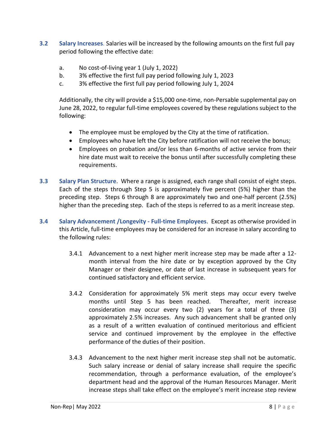- <span id="page-8-0"></span>**3.2 Salary Increases**. Salaries will be increased by the following amounts on the first full pay period following the effective date:
	- a. No cost-of-living year 1 (July 1, 2022)
	- b. 3% effective the first full pay period following July 1, 2023
	- c. 3% effective the first full pay period following July 1, 2024

Additionally, the city will provide a \$15,000 one-time, non-Persable supplemental pay on June 28, 2022, to regular full-time employees covered by these regulations subject to the following:

- The employee must be employed by the City at the time of ratification.
- Employees who have left the City before ratification will not receive the bonus;
- Employees on probation and/or less than 6-months of active service from their hire date must wait to receive the bonus until after successfully completing these requirements.
- <span id="page-8-1"></span>**3.3 Salary Plan Structure**. Where a range is assigned, each range shall consist of eight steps. Each of the steps through Step 5 is approximately five percent (5%) higher than the preceding step. Steps 6 through 8 are approximately two and one-half percent (2.5%) higher than the preceding step. Each of the steps is referred to as a merit increase step.
- <span id="page-8-2"></span>**3.4 Salary Advancement /Longevity - Full-time Employees**. Except as otherwise provided in this Article, full-time employees may be considered for an increase in salary according to the following rules:
	- 3.4.1 Advancement to a next higher merit increase step may be made after a 12 month interval from the hire date or by exception approved by the City Manager or their designee, or date of last increase in subsequent years for continued satisfactory and efficient service.
	- 3.4.2 Consideration for approximately 5% merit steps may occur every twelve months until Step 5 has been reached. Thereafter, merit increase consideration may occur every two (2) years for a total of three (3) approximately 2.5% increases. Any such advancement shall be granted only as a result of a written evaluation of continued meritorious and efficient service and continued improvement by the employee in the effective performance of the duties of their position.
	- 3.4.3 Advancement to the next higher merit increase step shall not be automatic. Such salary increase or denial of salary increase shall require the specific recommendation, through a performance evaluation, of the employee's department head and the approval of the Human Resources Manager. Merit increase steps shall take effect on the employee's merit increase step review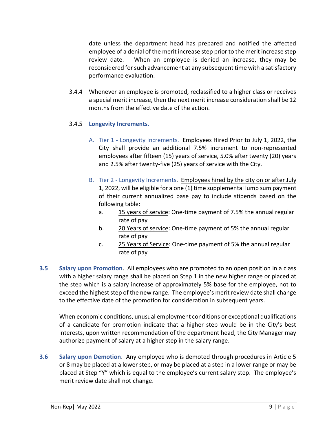date unless the department head has prepared and notified the affected employee of a denial of the merit increase step prior to the merit increase step review date. When an employee is denied an increase, they may be reconsidered for such advancement at any subsequent time with a satisfactory performance evaluation.

3.4.4 Whenever an employee is promoted, reclassified to a higher class or receives a special merit increase, then the next merit increase consideration shall be 12 months from the effective date of the action.

# 3.4.5 **Longevity Increments**.

- A. Tier 1 Longevity Increments. Employees Hired Prior to July 1, 2022, the City shall provide an additional 7.5% increment to non-represented employees after fifteen (15) years of service, 5.0% after twenty (20) years and 2.5% after twenty-five (25) years of service with the City.
- B. Tier 2 Longevity Increments. Employees hired by the city on or after July 1, 2022, will be eligible for a one (1) time supplemental lump sum payment of their current annualized base pay to include stipends based on the following table:
	- a. 15 years of service: One-time payment of 7.5% the annual regular rate of pay
	- b. 20 Years of service: One-time payment of 5% the annual regular rate of pay
	- c. 25 Years of Service: One-time payment of 5% the annual regular rate of pay
- <span id="page-9-0"></span>**3.5 Salary upon Promotion**. All employees who are promoted to an open position in a class with a higher salary range shall be placed on Step 1 in the new higher range or placed at the step which is a salary increase of approximately 5% base for the employee, not to exceed the highest step of the new range. The employee's merit review date shall change to the effective date of the promotion for consideration in subsequent years.

When economic conditions, unusual employment conditions or exceptional qualifications of a candidate for promotion indicate that a higher step would be in the City's best interests, upon written recommendation of the department head, the City Manager may authorize payment of salary at a higher step in the salary range.

<span id="page-9-1"></span>**3.6 Salary upon Demotion**. Any employee who is demoted through procedures in Article 5 or 8 may be placed at a lower step, or may be placed at a step in a lower range or may be placed at Step "Y" which is equal to the employee's current salary step. The employee's merit review date shall not change.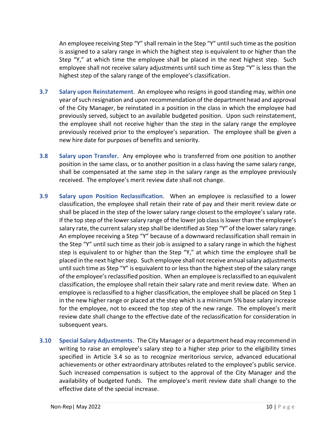An employee receiving Step "Y" shall remain in the Step "Y" until such time as the position is assigned to a salary range in which the highest step is equivalent to or higher than the Step "Y," at which time the employee shall be placed in the next highest step. Such employee shall not receive salary adjustments until such time as Step "Y" is less than the highest step of the salary range of the employee's classification.

- <span id="page-10-0"></span>**3.7 Salary upon Reinstatement**. An employee who resigns in good standing may, within one year of such resignation and upon recommendation of the department head and approval of the City Manager, be reinstated in a position in the class in which the employee had previously served, subject to an available budgeted position. Upon such reinstatement, the employee shall not receive higher than the step in the salary range the employee previously received prior to the employee's separation. The employee shall be given a new hire date for purposes of benefits and seniority.
- <span id="page-10-1"></span>**3.8 Salary upon Transfer.** Any employee who is transferred from one position to another position in the same class, or to another position in a class having the same salary range, shall be compensated at the same step in the salary range as the employee previously received. The employee's merit review date shall not change.
- <span id="page-10-2"></span>**3.9 Salary upon Position Reclassification**. When an employee is reclassified to a lower classification, the employee shall retain their rate of pay and their merit review date or shall be placed in the step of the lower salary range closest to the employee's salary rate. If the top step of the lower salary range of the lower job class is lower than the employee's salary rate, the current salary step shall be identified as Step "Y" of the lower salary range. An employee receiving a Step "Y" because of a downward reclassification shall remain in the Step "Y" until such time as their job is assigned to a salary range in which the highest step is equivalent to or higher than the Step "Y," at which time the employee shall be placed in the next higher step. Such employee shall not receive annual salary adjustments until such time as Step "Y" is equivalent to or less than the highest step of the salary range of the employee's reclassified position. When an employee is reclassified to an equivalent classification, the employee shall retain their salary rate and merit review date. When an employee is reclassified to a higher classification, the employee shall be placed on Step 1 in the new higher range or placed at the step which is a minimum 5% base salary increase for the employee, not to exceed the top step of the new range. The employee's merit review date shall change to the effective date of the reclassification for consideration in subsequent years.
- <span id="page-10-3"></span>**3.10 Special Salary Adjustments**. The City Manager or a department head may recommend in writing to raise an employee's salary step to a higher step prior to the eligibility times specified in Article 3.4 so as to recognize meritorious service, advanced educational achievements or other extraordinary attributes related to the employee's public service. Such increased compensation is subject to the approval of the City Manager and the availability of budgeted funds. The employee's merit review date shall change to the effective date of the special increase.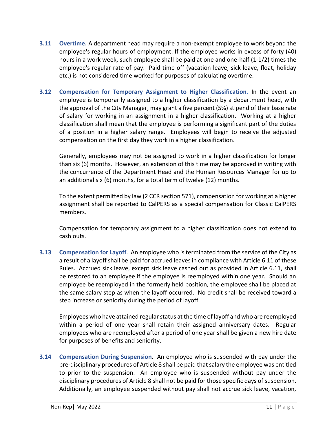- <span id="page-11-0"></span>**3.11 Overtime.** A department head may require a non-exempt employee to work beyond the employee's regular hours of employment. If the employee works in excess of forty (40) hours in a work week, such employee shall be paid at one and one-half (1-1/2) times the employee's regular rate of pay. Paid time off (vacation leave, sick leave, float, holiday etc.) is not considered time worked for purposes of calculating overtime.
- <span id="page-11-1"></span>**3.12 Compensation for Temporary Assignment to Higher Classification**. In the event an employee is temporarily assigned to a higher classification by a department head, with the approval of the City Manager, may grant a five percent (5%) stipend of their base rate of salary for working in an assignment in a higher classification. Working at a higher classification shall mean that the employee is performing a significant part of the duties of a position in a higher salary range. Employees will begin to receive the adjusted compensation on the first day they work in a higher classification.

Generally, employees may not be assigned to work in a higher classification for longer than six (6) months. However, an extension of this time may be approved in writing with the concurrence of the Department Head and the Human Resources Manager for up to an additional six (6) months, for a total term of twelve (12) months.

To the extent permitted by law (2 CCR section 571), compensation for working at a higher assignment shall be reported to CalPERS as a special compensation for Classic CalPERS members.

Compensation for temporary assignment to a higher classification does not extend to cash outs.

<span id="page-11-2"></span>**3.13 Compensation for Layoff**. An employee who is terminated from the service of the City as a result of a layoff shall be paid for accrued leaves in compliance with Article 6.11 of these Rules. Accrued sick leave, except sick leave cashed out as provided in Article 6.11, shall be restored to an employee if the employee is reemployed within one year. Should an employee be reemployed in the formerly held position, the employee shall be placed at the same salary step as when the layoff occurred. No credit shall be received toward a step increase or seniority during the period of layoff.

Employees who have attained regular status at the time of layoff and who are reemployed within a period of one year shall retain their assigned anniversary dates. Regular employees who are reemployed after a period of one year shall be given a new hire date for purposes of benefits and seniority.

<span id="page-11-3"></span>**3.14 Compensation During Suspension**. An employee who is suspended with pay under the pre-disciplinary procedures of Article 8 shall be paid that salary the employee was entitled to prior to the suspension. An employee who is suspended without pay under the disciplinary procedures of Article 8 shall not be paid for those specific days of suspension. Additionally, an employee suspended without pay shall not accrue sick leave, vacation,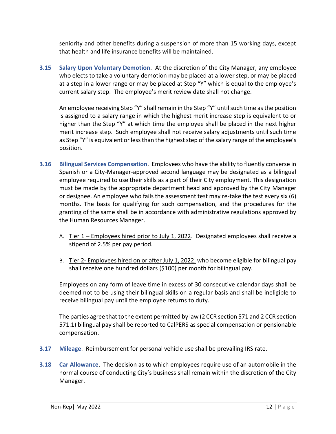seniority and other benefits during a suspension of more than 15 working days, except that health and life insurance benefits will be maintained.

<span id="page-12-0"></span>**3.15 Salary Upon Voluntary Demotion**. At the discretion of the City Manager, any employee who elects to take a voluntary demotion may be placed at a lower step, or may be placed at a step in a lower range or may be placed at Step "Y" which is equal to the employee's current salary step. The employee's merit review date shall not change.

An employee receiving Step "Y" shall remain in the Step "Y" until such time as the position is assigned to a salary range in which the highest merit increase step is equivalent to or higher than the Step "Y" at which time the employee shall be placed in the next higher merit increase step. Such employee shall not receive salary adjustments until such time as Step "Y" is equivalent or less than the highest step of the salary range of the employee's position.

- <span id="page-12-1"></span>**3.16 Bilingual Services Compensation**. Employees who have the ability to fluently converse in Spanish or a City-Manager-approved second language may be designated as a bilingual employee required to use their skills as a part of their City employment. This designation must be made by the appropriate department head and approved by the City Manager or designee. An employee who fails the assessment test may re-take the test every six (6) months. The basis for qualifying for such compensation, and the procedures for the granting of the same shall be in accordance with administrative regulations approved by the Human Resources Manager.
	- A. Tier 1 Employees hired prior to July 1, 2022. Designated employees shall receive a stipend of 2.5% per pay period.
	- B. Tier 2- Employees hired on or after July 1, 2022, who become eligible for bilingual pay shall receive one hundred dollars (\$100) per month for bilingual pay.

Employees on any form of leave time in excess of 30 consecutive calendar days shall be deemed not to be using their bilingual skills on a regular basis and shall be ineligible to receive bilingual pay until the employee returns to duty.

The parties agree that to the extent permitted by law (2 CCR section 571 and 2 CCR section 571.1) bilingual pay shall be reported to CalPERS as special compensation or pensionable compensation.

- <span id="page-12-2"></span>**3.17 Mileage**. Reimbursement for personal vehicle use shall be prevailing IRS rate.
- <span id="page-12-3"></span>**3.18 Car Allowance**. The decision as to which employees require use of an automobile in the normal course of conducting City's business shall remain within the discretion of the City Manager.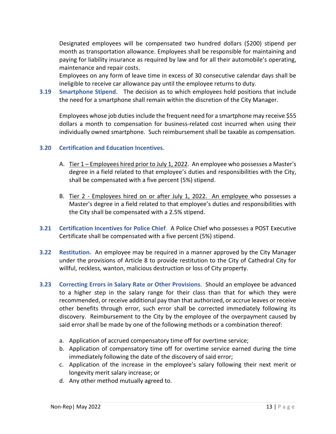Designated employees will be compensated two hundred dollars (\$200) stipend per month as transportation allowance. Employees shall be responsible for maintaining and paying for liability insurance as required by law and for all their automobile's operating, maintenance and repair costs.

Employees on any form of leave time in excess of 30 consecutive calendar days shall be ineligible to receive car allowance pay until the employee returns to duty.

<span id="page-13-0"></span>**3.19 Smartphone Stipend**. The decision as to which employees hold positions that include the need for a smartphone shall remain within the discretion of the City Manager.

Employees whose job duties include the frequent need for a smartphone may receive \$55 dollars a month to compensation for business-related cost incurred when using their individually owned smartphone. Such reimbursement shall be taxable as compensation.

# <span id="page-13-1"></span>**3.20 Certification and Education Incentives**.

- A. Tier 1 Employees hired prior to July 1, 2022. An employee who possesses a Master's degree in a field related to that employee's duties and responsibilities with the City, shall be compensated with a five percent (5%) stipend.
- B. Tier 2 Employees hired on or after July 1, 2022. An employee who possesses a Master's degree in a field related to that employee's duties and responsibilities with the City shall be compensated with a 2.5% stipend.
- <span id="page-13-2"></span>**3.21 Certification Incentives for Police Chief**. A Police Chief who possesses a POST Executive Certificate shall be compensated with a five percent (5%) stipend.
- <span id="page-13-3"></span>**3.22 Restitution.** An employee may be required in a manner approved by the City Manager under the provisions of Article 8 to provide restitution to the City of Cathedral City for willful, reckless, wanton, malicious destruction or loss of City property.
- <span id="page-13-4"></span>**3.23 Correcting Errors in Salary Rate or Other Provisions**. Should an employee be advanced to a higher step in the salary range for their class than that for which they were recommended, or receive additional pay than that authorized, or accrue leaves or receive other benefits through error, such error shall be corrected immediately following its discovery. Reimbursement to the City by the employee of the overpayment caused by said error shall be made by one of the following methods or a combination thereof:
	- a. Application of accrued compensatory time off for overtime service;
	- b. Application of compensatory time off for overtime service earned during the time immediately following the date of the discovery of said error;
	- c. Application of the increase in the employee's salary following their next merit or longevity merit salary increase; or
	- d. Any other method mutually agreed to.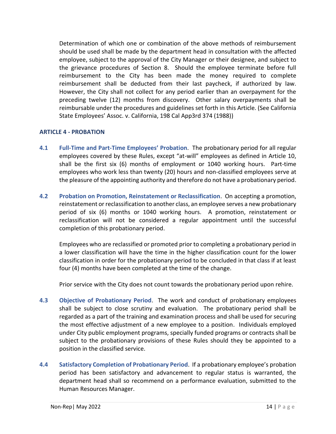Determination of which one or combination of the above methods of reimbursement should be used shall be made by the department head in consultation with the affected employee, subject to the approval of the City Manager or their designee, and subject to the grievance procedures of Section 8. Should the employee terminate before full reimbursement to the City has been made the money required to complete reimbursement shall be deducted from their last paycheck, if authorized by law. However, the City shall not collect for any period earlier than an overpayment for the preceding twelve (12) months from discovery. Other salary overpayments shall be reimbursable under the procedures and guidelines set forth in this Article. (See California State Employees' Assoc. v. California, 198 Cal App3rd 374 (1988))

# <span id="page-14-0"></span>**ARTICLE 4 - PROBATION**

- <span id="page-14-1"></span>**4.1 Full-Time and Part-Time Employees' Probation**. The probationary period for all regular employees covered by these Rules, except "at-will" employees as defined in Article 10, shall be the first six (6) months of employment or 1040 working hours. Part-time employees who work less than twenty (20) hours and non-classified employees serve at the pleasure of the appointing authority and therefore do not have a probationary period.
- <span id="page-14-2"></span>**4.2 Probation on Promotion, Reinstatement or Reclassification**. On accepting a promotion, reinstatement or reclassification to another class, an employee serves a new probationary period of six (6) months or 1040 working hours. A promotion, reinstatement or reclassification will not be considered a regular appointment until the successful completion of this probationary period.

Employees who are reclassified or promoted prior to completing a probationary period in a lower classification will have the time in the higher classification count for the lower classification in order for the probationary period to be concluded in that class if at least four (4) months have been completed at the time of the change.

Prior service with the City does not count towards the probationary period upon rehire.

- <span id="page-14-3"></span>**4.3 Objective of Probationary Period**. The work and conduct of probationary employees shall be subject to close scrutiny and evaluation. The probationary period shall be regarded as a part of the training and examination process and shall be used for securing the most effective adjustment of a new employee to a position. Individuals employed under City public employment programs, specially funded programs or contracts shall be subject to the probationary provisions of these Rules should they be appointed to a position in the classified service.
- <span id="page-14-4"></span>**4.4 Satisfactory Completion of Probationary Period**. If a probationary employee's probation period has been satisfactory and advancement to regular status is warranted, the department head shall so recommend on a performance evaluation, submitted to the Human Resources Manager.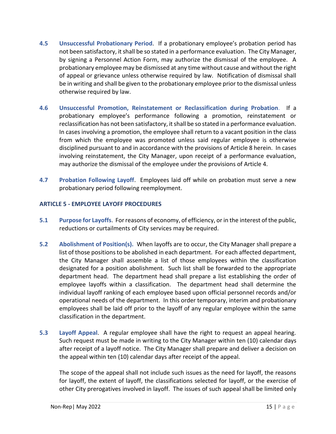- <span id="page-15-0"></span>**4.5 Unsuccessful Probationary Period**. If a probationary employee's probation period has not been satisfactory, it shall be so stated in a performance evaluation. The City Manager, by signing a Personnel Action Form, may authorize the dismissal of the employee. A probationary employee may be dismissed at any time without cause and without the right of appeal or grievance unless otherwise required by law. Notification of dismissal shall be in writing and shall be given to the probationary employee prior to the dismissal unless otherwise required by law.
- <span id="page-15-1"></span>**4.6 Unsuccessful Promotion, Reinstatement or Reclassification during Probation**. If a probationary employee's performance following a promotion, reinstatement or reclassification has not been satisfactory, it shall be so stated in a performance evaluation. In cases involving a promotion, the employee shall return to a vacant position in the class from which the employee was promoted unless said regular employee is otherwise disciplined pursuant to and in accordance with the provisions of Article 8 herein. In cases involving reinstatement, the City Manager, upon receipt of a performance evaluation, may authorize the dismissal of the employee under the provisions of Article 4.
- <span id="page-15-2"></span>**4.7 Probation Following Layoff**. Employees laid off while on probation must serve a new probationary period following reemployment.

# <span id="page-15-3"></span>**ARTICLE 5 - EMPLOYEE LAYOFF PROCEDURES**

- <span id="page-15-4"></span>**5.1 Purpose for Layoffs**. For reasons of economy, of efficiency, or in the interest of the public, reductions or curtailments of City services may be required.
- <span id="page-15-5"></span>**5.2 Abolishment of Position(s).** When layoffs are to occur, the City Manager shall prepare a list of those positions to be abolished in each department. For each affected department, the City Manager shall assemble a list of those employees within the classification designated for a position abolishment. Such list shall be forwarded to the appropriate department head. The department head shall prepare a list establishing the order of employee layoffs within a classification. The department head shall determine the individual layoff ranking of each employee based upon official personnel records and/or operational needs of the department. In this order temporary, interim and probationary employees shall be laid off prior to the layoff of any regular employee within the same classification in the department.
- <span id="page-15-6"></span>**5.3 Layoff Appeal**. A regular employee shall have the right to request an appeal hearing. Such request must be made in writing to the City Manager within ten (10) calendar days after receipt of a layoff notice. The City Manager shall prepare and deliver a decision on the appeal within ten (10) calendar days after receipt of the appeal.

The scope of the appeal shall not include such issues as the need for layoff, the reasons for layoff, the extent of layoff, the classifications selected for layoff, or the exercise of other City prerogatives involved in layoff. The issues of such appeal shall be limited only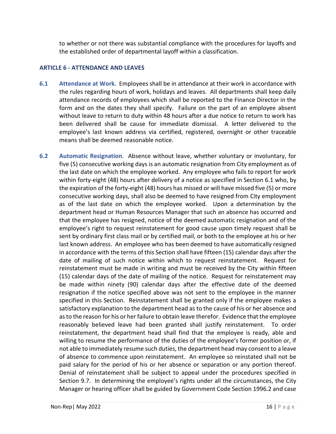to whether or not there was substantial compliance with the procedures for layoffs and the established order of departmental layoff within a classification.

# <span id="page-16-0"></span>**ARTICLE 6 - ATTENDANCE AND LEAVES**

- <span id="page-16-1"></span>**6.1 Attendance at Work**. Employees shall be in attendance at their work in accordance with the rules regarding hours of work, holidays and leaves. All departments shall keep daily attendance records of employees which shall be reported to the Finance Director in the form and on the dates they shall specify. Failure on the part of an employee absent without leave to return to duty within 48 hours after a due notice to return to work has been delivered shall be cause for immediate dismissal. A letter delivered to the employee's last known address via certified, registered, overnight or other traceable means shall be deemed reasonable notice.
- <span id="page-16-2"></span>**6.2 Automatic Resignation**. Absence without leave, whether voluntary or involuntary, for five (5) consecutive working days is an automatic resignation from City employment as of the last date on which the employee worked. Any employee who fails to report for work within forty-eight (48) hours after delivery of a notice as specified in Section 6.1 who, by the expiration of the forty-eight (48) hours has missed or will have missed five (5) or more consecutive working days, shall also be deemed to have resigned from City employment as of the last date on which the employee worked. Upon a determination by the department head or Human Resources Manager that such an absence has occurred and that the employee has resigned, notice of the deemed automatic resignation and of the employee's right to request reinstatement for good cause upon timely request shall be sent by ordinary first class mail or by certified mail, or both to the employee at his or her last known address. An employee who has been deemed to have automatically resigned in accordance with the terms of this Section shall have fifteen (15) calendar days after the date of mailing of such notice within which to request reinstatement. Request for reinstatement must be made in writing and must be received by the City within fifteen (15) calendar days of the date of mailing of the notice. Request for reinstatement may be made within ninety (90) calendar days after the effective date of the deemed resignation if the notice specified above was not sent to the employee in the manner specified in this Section. Reinstatement shall be granted only if the employee makes a satisfactory explanation to the department head as to the cause of his or her absence and as to the reason for his or her failure to obtain leave therefor. Evidence that the employee reasonably believed leave had been granted shall justify reinstatement. To order reinstatement, the department head shall find that the employee is ready, able and willing to resume the performance of the duties of the employee's former position or, if not able to immediately resume such duties, the department head may consent to a leave of absence to commence upon reinstatement. An employee so reinstated shall not be paid salary for the period of his or her absence or separation or any portion thereof. Denial of reinstatement shall be subject to appeal under the procedures specified in Section 9.7. In determining the employee's rights under all the circumstances, the City Manager or hearing officer shall be guided by Government Code Section 1996.2 and case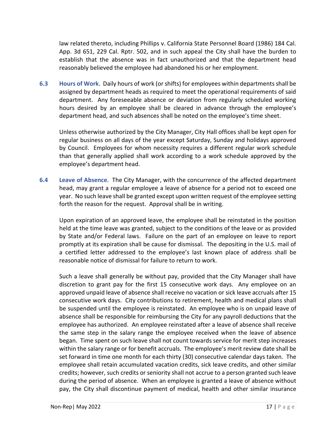law related thereto, including Phillips v. California State Personnel Board (1986) 184 Cal. App. 3d 651, 229 Cal. Rptr. 502, and in such appeal the City shall have the burden to establish that the absence was in fact unauthorized and that the department head reasonably believed the employee had abandoned his or her employment.

<span id="page-17-0"></span>**6.3 Hours of Work**. Daily hours of work (or shifts) for employees within departments shall be assigned by department heads as required to meet the operational requirements of said department. Any foreseeable absence or deviation from regularly scheduled working hours desired by an employee shall be cleared in advance through the employee's department head, and such absences shall be noted on the employee's time sheet.

Unless otherwise authorized by the City Manager, City Hall offices shall be kept open for regular business on all days of the year except Saturday, Sunday and holidays approved by Council. Employees for whom necessity requires a different regular work schedule than that generally applied shall work according to a work schedule approved by the employee's department head.

<span id="page-17-1"></span>**6.4 Leave of Absence**. The City Manager, with the concurrence of the affected department head, may grant a regular employee a leave of absence for a period not to exceed one year. No such leave shall be granted except upon written request of the employee setting forth the reason for the request. Approval shall be in writing.

Upon expiration of an approved leave, the employee shall be reinstated in the position held at the time leave was granted, subject to the conditions of the leave or as provided by State and/or Federal laws. Failure on the part of an employee on leave to report promptly at its expiration shall be cause for dismissal. The depositing in the U.S. mail of a certified letter addressed to the employee's last known place of address shall be reasonable notice of dismissal for failure to return to work.

Such a leave shall generally be without pay, provided that the City Manager shall have discretion to grant pay for the first 15 consecutive work days. Any employee on an approved unpaid leave of absence shall receive no vacation or sick leave accruals after 15 consecutive work days. City contributions to retirement, health and medical plans shall be suspended until the employee is reinstated. An employee who is on unpaid leave of absence shall be responsible for reimbursing the City for any payroll deductions that the employee has authorized. An employee reinstated after a leave of absence shall receive the same step in the salary range the employee received when the leave of absence began. Time spent on such leave shall not count towards service for merit step increases within the salary range or for benefit accruals. The employee's merit review date shall be set forward in time one month for each thirty (30) consecutive calendar days taken. The employee shall retain accumulated vacation credits, sick leave credits, and other similar credits; however, such credits or seniority shall not accrue to a person granted such leave during the period of absence. When an employee is granted a leave of absence without pay, the City shall discontinue payment of medical, health and other similar insurance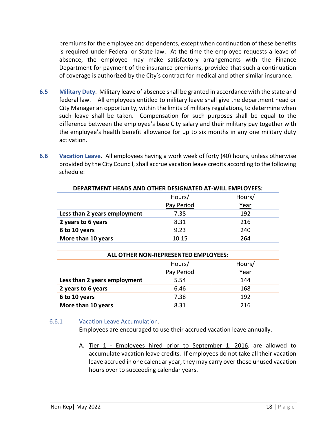premiums for the employee and dependents, except when continuation of these benefits is required under Federal or State law. At the time the employee requests a leave of absence, the employee may make satisfactory arrangements with the Finance Department for payment of the insurance premiums, provided that such a continuation of coverage is authorized by the City's contract for medical and other similar insurance.

- <span id="page-18-0"></span>**6.5 Military Duty**. Military leave of absence shall be granted in accordance with the state and federal law. All employees entitled to military leave shall give the department head or City Manager an opportunity, within the limits of military regulations, to determine when such leave shall be taken. Compensation for such purposes shall be equal to the difference between the employee's base City salary and their military pay together with the employee's health benefit allowance for up to six months in any one military duty activation.
- <span id="page-18-1"></span>**6.6 Vacation Leave**. All employees having a work week of forty (40) hours, unless otherwise provided by the City Council, shall accrue vacation leave credits according to the following schedule:

| DEPARTMENT HEADS AND OTHER DESIGNATED AT-WILL EMPLOYEES: |            |        |
|----------------------------------------------------------|------------|--------|
|                                                          | Hours/     | Hours/ |
|                                                          | Pay Period | Year   |
| Less than 2 years employment                             | 7.38       | 192    |
| 2 years to 6 years                                       | 8.31       | 216    |
| 6 to 10 years                                            | 9.23       | 240    |
| More than 10 years                                       | 10.15      | 264    |

| ALL OTHER NON-REPRESENTED EMPLOYEES: |            |        |
|--------------------------------------|------------|--------|
|                                      | Hours/     | Hours/ |
|                                      | Pay Period | Year   |
| Less than 2 years employment         | 5.54       | 144    |
| 2 years to 6 years                   | 6.46       | 168    |
| 6 to 10 years                        | 7.38       | 192    |
| More than 10 years                   | 8.31       | 216    |

#### 6.6.1 Vacation Leave Accumulation.

Employees are encouraged to use their accrued vacation leave annually.

A. Tier 1 - Employees hired prior to September 1, 2016, are allowed to accumulate vacation leave credits. If employees do not take all their vacation leave accrued in one calendar year, they may carry over those unused vacation hours over to succeeding calendar years.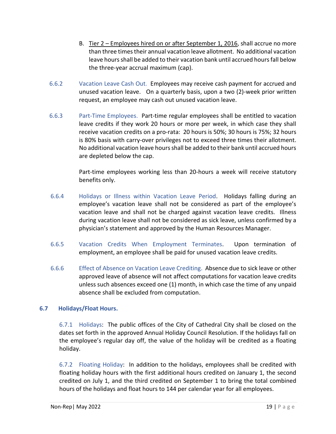- B. Tier 2 Employees hired on or after September 1, 2016, shall accrue no more than three times their annual vacation leave allotment. No additional vacation leave hours shall be added to their vacation bank until accrued hours fall below the three-year accrual maximum (cap).
- 6.6.2 Vacation Leave Cash Out. Employees may receive cash payment for accrued and unused vacation leave. On a quarterly basis, upon a two (2)-week prior written request, an employee may cash out unused vacation leave.
- 6.6.3 Part-Time Employees. Part-time regular employees shall be entitled to vacation leave credits if they work 20 hours or more per week, in which case they shall receive vacation credits on a pro-rata: 20 hours is 50%; 30 hours is 75%; 32 hours is 80% basis with carry-over privileges not to exceed three times their allotment. No additional vacation leave hours shall be added to their bank until accrued hours are depleted below the cap.

Part-time employees working less than 20-hours a week will receive statutory benefits only.

- 6.6.4 Holidays or Illness within Vacation Leave Period. Holidays falling during an employee's vacation leave shall not be considered as part of the employee's vacation leave and shall not be charged against vacation leave credits. Illness during vacation leave shall not be considered as sick leave, unless confirmed by a physician's statement and approved by the Human Resources Manager.
- 6.6.5 Vacation Credits When Employment Terminates. Upon termination of employment, an employee shall be paid for unused vacation leave credits.
- 6.6.6 Effect of Absence on Vacation Leave Crediting. Absence due to sick leave or other approved leave of absence will not affect computations for vacation leave credits unless such absences exceed one (1) month, in which case the time of any unpaid absence shall be excluded from computation.

# <span id="page-19-0"></span>**6.7 Holidays/Float Hours.**

6.7.1 Holidays: The public offices of the City of Cathedral City shall be closed on the dates set forth in the approved Annual Holiday Council Resolution. If the holidays fall on the employee's regular day off, the value of the holiday will be credited as a floating holiday.

6.7.2 Floating Holiday: In addition to the holidays, employees shall be credited with floating holiday hours with the first additional hours credited on January 1, the second credited on July 1, and the third credited on September 1 to bring the total combined hours of the holidays and float hours to 144 per calendar year for all employees.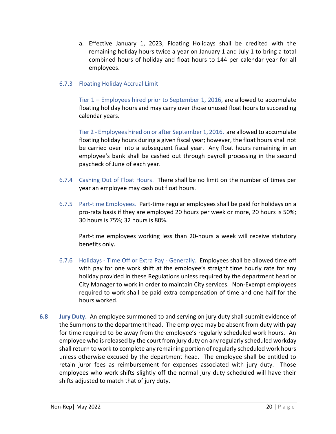a. Effective January 1, 2023, Floating Holidays shall be credited with the remaining holiday hours twice a year on January 1 and July 1 to bring a total combined hours of holiday and float hours to 144 per calendar year for all employees.

# 6.7.3 Floating Holiday Accrual Limit

Tier 1 – Employees hired prior to September 1, 2016, are allowed to accumulate floating holiday hours and may carry over those unused float hours to succeeding calendar years.

Tier 2 - Employees hired on or after September 1, 2016. are allowed to accumulate floating holiday hours during a given fiscal year; however, the float hours shall not be carried over into a subsequent fiscal year. Any float hours remaining in an employee's bank shall be cashed out through payroll processing in the second paycheck of June of each year.

- 6.7.4 Cashing Out of Float Hours. There shall be no limit on the number of times per year an employee may cash out float hours.
- 6.7.5 Part-time Employees. Part-time regular employees shall be paid for holidays on a pro-rata basis if they are employed 20 hours per week or more, 20 hours is 50%; 30 hours is 75%; 32 hours is 80%.

Part-time employees working less than 20-hours a week will receive statutory benefits only.

- 6.7.6 Holidays Time Off or Extra Pay Generally. Employees shall be allowed time off with pay for one work shift at the employee's straight time hourly rate for any holiday provided in these Regulations unless required by the department head or City Manager to work in order to maintain City services. Non-Exempt employees required to work shall be paid extra compensation of time and one half for the hours worked.
- <span id="page-20-0"></span>**6.8 Jury Duty.** An employee summoned to and serving on jury duty shall submit evidence of the Summons to the department head. The employee may be absent from duty with pay for time required to be away from the employee's regularly scheduled work hours. An employee who is released by the court from jury duty on any regularly scheduled workday shall return to work to complete any remaining portion of regularly scheduled work hours unless otherwise excused by the department head. The employee shall be entitled to retain juror fees as reimbursement for expenses associated with jury duty. Those employees who work shifts slightly off the normal jury duty scheduled will have their shifts adjusted to match that of jury duty.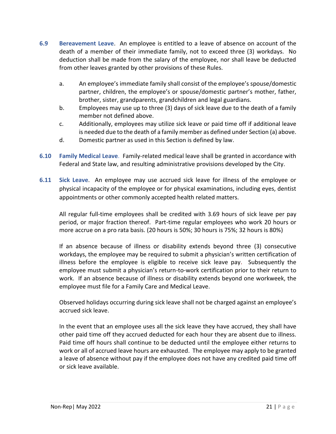- <span id="page-21-0"></span>**6.9 Bereavement Leave**. An employee is entitled to a leave of absence on account of the death of a member of their immediate family, not to exceed three (3) workdays. No deduction shall be made from the salary of the employee, nor shall leave be deducted from other leaves granted by other provisions of these Rules.
	- a. An employee's immediate family shall consist of the employee's spouse/domestic partner, children, the employee's or spouse/domestic partner's mother, father, brother, sister, grandparents, grandchildren and legal guardians.
	- b. Employees may use up to three (3) days of sick leave due to the death of a family member not defined above.
	- c. Additionally, employees may utilize sick leave or paid time off if additional leave is needed due to the death of a family member as defined under Section (a) above.
	- d. Domestic partner as used in this Section is defined by law.
- <span id="page-21-1"></span>**6.10 Family Medical Leave**. Family-related medical leave shall be granted in accordance with Federal and State law, and resulting administrative provisions developed by the City.
- <span id="page-21-2"></span>**6.11 Sick Leave**. An employee may use accrued sick leave for illness of the employee or physical incapacity of the employee or for physical examinations, including eyes, dentist appointments or other commonly accepted health related matters.

All regular full-time employees shall be credited with 3.69 hours of sick leave per pay period, or major fraction thereof. Part-time regular employees who work 20 hours or more accrue on a pro rata basis. (20 hours is 50%; 30 hours is 75%; 32 hours is 80%)

If an absence because of illness or disability extends beyond three (3) consecutive workdays, the employee may be required to submit a physician's written certification of illness before the employee is eligible to receive sick leave pay. Subsequently the employee must submit a physician's return-to-work certification prior to their return to work. If an absence because of illness or disability extends beyond one workweek, the employee must file for a Family Care and Medical Leave.

Observed holidays occurring during sick leave shall not be charged against an employee's accrued sick leave.

In the event that an employee uses all the sick leave they have accrued, they shall have other paid time off they accrued deducted for each hour they are absent due to illness. Paid time off hours shall continue to be deducted until the employee either returns to work or all of accrued leave hours are exhausted. The employee may apply to be granted a leave of absence without pay if the employee does not have any credited paid time off or sick leave available.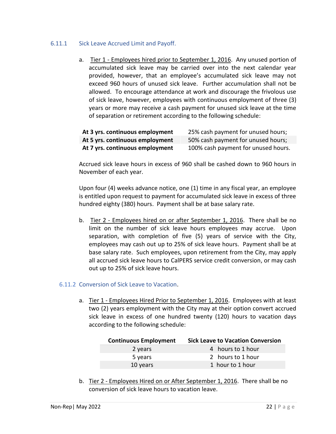# 6.11.1 Sick Leave Accrued Limit and Payoff.

a. Tier 1 - Employees hired prior to September 1, 2016. Any unused portion of accumulated sick leave may be carried over into the next calendar year provided, however, that an employee's accumulated sick leave may not exceed 960 hours of unused sick leave. Further accumulation shall not be allowed. To encourage attendance at work and discourage the frivolous use of sick leave, however, employees with continuous employment of three (3) years or more may receive a cash payment for unused sick leave at the time of separation or retirement according to the following schedule:

| At 3 yrs. continuous employment | 25% cash payment for unused hours;  |
|---------------------------------|-------------------------------------|
| At 5 yrs. continuous employment | 50% cash payment for unused hours;  |
| At 7 yrs. continuous employment | 100% cash payment for unused hours. |

Accrued sick leave hours in excess of 960 shall be cashed down to 960 hours in November of each year.

Upon four (4) weeks advance notice, one (1) time in any fiscal year, an employee is entitled upon request to payment for accumulated sick leave in excess of three hundred eighty (380) hours. Payment shall be at base salary rate.

b. Tier 2 - Employees hired on or after September 1, 2016. There shall be no limit on the number of sick leave hours employees may accrue. Upon separation, with completion of five (5) years of service with the City, employees may cash out up to 25% of sick leave hours. Payment shall be at base salary rate. Such employees, upon retirement from the City, may apply all accrued sick leave hours to CalPERS service credit conversion, or may cash out up to 25% of sick leave hours.

#### 6.11.2 Conversion of Sick Leave to Vacation.

a. Tier 1 - Employees Hired Prior to September 1, 2016. Employees with at least two (2) years employment with the City may at their option convert accrued sick leave in excess of one hundred twenty (120) hours to vacation days according to the following schedule:

| <b>Continuous Employment</b> | <b>Sick Leave to Vacation Conversion</b> |
|------------------------------|------------------------------------------|
| 2 years                      | 4 hours to 1 hour                        |
| 5 years                      | 2 hours to 1 hour                        |
| 10 years                     | 1 hour to 1 hour                         |

b. Tier 2 - Employees Hired on or After September 1, 2016. There shall be no conversion of sick leave hours to vacation leave.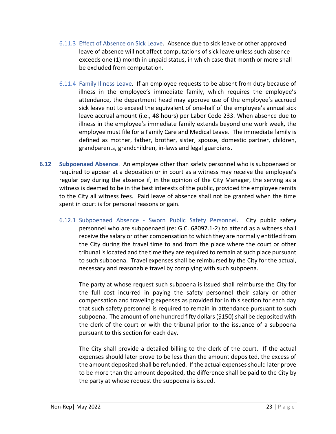- 6.11.3 Effect of Absence on Sick Leave. Absence due to sick leave or other approved leave of absence will not affect computations of sick leave unless such absence exceeds one (1) month in unpaid status, in which case that month or more shall be excluded from computation**.**
- 6.11.4 Family Illness Leave. If an employee requests to be absent from duty because of illness in the employee's immediate family, which requires the employee's attendance, the department head may approve use of the employee's accrued sick leave not to exceed the equivalent of one-half of the employee's annual sick leave accrual amount (i.e., 48 hours) per Labor Code 233. When absence due to illness in the employee's immediate family extends beyond one work week, the employee must file for a Family Care and Medical Leave.The immediate family is defined as mother, father, brother, sister, spouse, domestic partner, children, grandparents, grandchildren, in-laws and legal guardians.
- <span id="page-23-0"></span>**6.12 Subpoenaed Absence**. An employee other than safety personnel who is subpoenaed or required to appear at a deposition or in court as a witness may receive the employee's regular pay during the absence if, in the opinion of the City Manager, the serving as a witness is deemed to be in the best interests of the public, provided the employee remits to the City all witness fees. Paid leave of absence shall not be granted when the time spent in court is for personal reasons or gain.
	- 6.12.1 Subpoenaed Absence Sworn Public Safety Personnel. City public safety personnel who are subpoenaed (re: G.C. 68097.1-2) to attend as a witness shall receive the salary or other compensation to which they are normally entitled from the City during the travel time to and from the place where the court or other tribunal is located and the time they are required to remain at such place pursuant to such subpoena. Travel expenses shall be reimbursed by the City for the actual, necessary and reasonable travel by complying with such subpoena.

The party at whose request such subpoena is issued shall reimburse the City for the full cost incurred in paying the safety personnel their salary or other compensation and traveling expenses as provided for in this section for each day that such safety personnel is required to remain in attendance pursuant to such subpoena. The amount of one hundred fifty dollars (\$150) shall be deposited with the clerk of the court or with the tribunal prior to the issuance of a subpoena pursuant to this section for each day.

The City shall provide a detailed billing to the clerk of the court. If the actual expenses should later prove to be less than the amount deposited, the excess of the amount deposited shall be refunded. If the actual expenses should later prove to be more than the amount deposited, the difference shall be paid to the City by the party at whose request the subpoena is issued.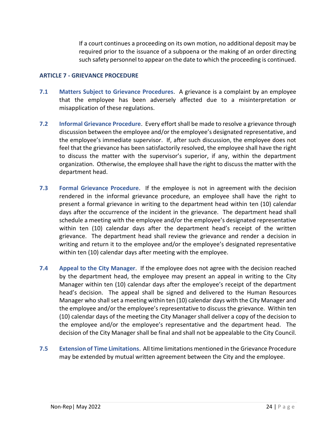If a court continues a proceeding on its own motion, no additional deposit may be required prior to the issuance of a subpoena or the making of an order directing such safety personnel to appear on the date to which the proceeding is continued.

### <span id="page-24-0"></span>**ARTICLE 7 - GRIEVANCE PROCEDURE**

- <span id="page-24-1"></span>**7.1 Matters Subject to Grievance Procedures**. A grievance is a complaint by an employee that the employee has been adversely affected due to a misinterpretation or misapplication of these regulations.
- <span id="page-24-2"></span>**7.2 Informal Grievance Procedure**. Every effort shall be made to resolve a grievance through discussion between the employee and/or the employee's designated representative, and the employee's immediate supervisor. If, after such discussion, the employee does not feel that the grievance has been satisfactorily resolved, the employee shall have the right to discuss the matter with the supervisor's superior, if any, within the department organization. Otherwise, the employee shall have the right to discuss the matter with the department head.
- <span id="page-24-3"></span>**7.3 Formal Grievance Procedure**. If the employee is not in agreement with the decision rendered in the informal grievance procedure, an employee shall have the right to present a formal grievance in writing to the department head within ten (10) calendar days after the occurrence of the incident in the grievance. The department head shall schedule a meeting with the employee and/or the employee's designated representative within ten (10) calendar days after the department head's receipt of the written grievance. The department head shall review the grievance and render a decision in writing and return it to the employee and/or the employee's designated representative within ten (10) calendar days after meeting with the employee.
- <span id="page-24-4"></span>**7.4 Appeal to the City Manager**. If the employee does not agree with the decision reached by the department head, the employee may present an appeal in writing to the City Manager within ten (10) calendar days after the employee's receipt of the department head's decision. The appeal shall be signed and delivered to the Human Resources Manager who shall set a meeting within ten (10) calendar days with the City Manager and the employee and/or the employee's representative to discuss the grievance. Within ten (10) calendar days of the meeting the City Manager shall deliver a copy of the decision to the employee and/or the employee's representative and the department head. The decision of the City Manager shall be final and shall not be appealable to the City Council.
- <span id="page-24-5"></span>**7.5 Extension of Time Limitations**. All time limitations mentioned in the Grievance Procedure may be extended by mutual written agreement between the City and the employee.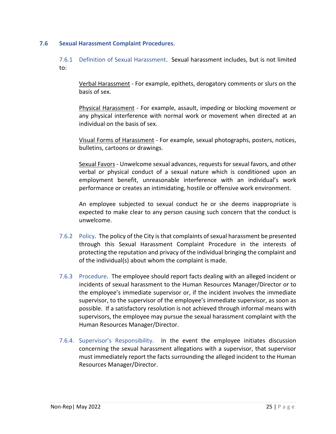#### <span id="page-25-0"></span>**7.6 Sexual Harassment Complaint Procedures**.

7.6.1 Definition of Sexual Harassment. Sexual harassment includes, but is not limited to:

Verbal Harassment - For example, epithets, derogatory comments or slurs on the basis of sex.

Physical Harassment - For example, assault, impeding or blocking movement or any physical interference with normal work or movement when directed at an individual on the basis of sex.

Visual Forms of Harassment - For example, sexual photographs, posters, notices, bulletins, cartoons or drawings.

Sexual Favors - Unwelcome sexual advances, requests for sexual favors, and other verbal or physical conduct of a sexual nature which is conditioned upon an employment benefit, unreasonable interference with an individual's work performance or creates an intimidating, hostile or offensive work environment.

An employee subjected to sexual conduct he or she deems inappropriate is expected to make clear to any person causing such concern that the conduct is unwelcome.

- 7.6.2 Policy. The policy of the City is that complaints of sexual harassment be presented through this Sexual Harassment Complaint Procedure in the interests of protecting the reputation and privacy of the individual bringing the complaint and of the individual(s) about whom the complaint is made.
- 7.6.3 Procedure. The employee should report facts dealing with an alleged incident or incidents of sexual harassment to the Human Resources Manager/Director or to the employee's immediate supervisor or, if the incident involves the immediate supervisor, to the supervisor of the employee's immediate supervisor, as soon as possible. If a satisfactory resolution is not achieved through informal means with supervisors, the employee may pursue the sexual harassment complaint with the Human Resources Manager/Director.
- 7.6.4. Supervisor's Responsibility. In the event the employee initiates discussion concerning the sexual harassment allegations with a supervisor, that supervisor must immediately report the facts surrounding the alleged incident to the Human Resources Manager/Director.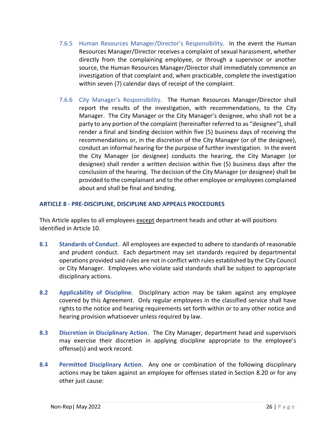- 7.6.5 Human Resources Manager/Director's Responsibility. In the event the Human Resources Manager/Director receives a complaint of sexual harassment, whether directly from the complaining employee, or through a supervisor or another source, the Human Resources Manager/Director shall immediately commence an investigation of that complaint and, when practicable, complete the investigation within seven (7) calendar days of receipt of the complaint.
- 7.6.6 City Manager's Responsibility. The Human Resources Manager/Director shall report the results of the investigation, with recommendations, to the City Manager. The City Manager or the City Manager's designee, who shall not be a party to any portion of the complaint (hereinafter referred to as "designee"), shall render a final and binding decision within five (5) business days of receiving the recommendations or, in the discretion of the City Manager (or of the designee), conduct an informal hearing for the purpose of further investigation. In the event the City Manager (or designee) conducts the hearing, the City Manager (or designee) shall render a written decision within five (5) business days after the conclusion of the hearing. The decision of the City Manager (or designee) shall be provided to the complainant and to the other employee or employees complained about and shall be final and binding.

# <span id="page-26-0"></span>**ARTICLE 8 - PRE-DISCIPLINE, DISCIPLINE AND APPEALS PROCEDURES**

This Article applies to all employees except department heads and other at-will positions identified in Article 10.

- <span id="page-26-1"></span>**8.1 Standards of Conduct**. All employees are expected to adhere to standards of reasonable and prudent conduct. Each department may set standards required by departmental operations provided said rules are not in conflict with rules established by the City Council or City Manager. Employees who violate said standards shall be subject to appropriate disciplinary actions.
- <span id="page-26-2"></span>**8.2 Applicability of Discipline**. Disciplinary action may be taken against any employee covered by this Agreement. Only regular employees in the classified service shall have rights to the notice and hearing requirements set forth within or to any other notice and hearing provision whatsoever unless required by law.
- <span id="page-26-3"></span>**8.3 Discretion in Disciplinary Action**. The City Manager, department head and supervisors may exercise their discretion in applying discipline appropriate to the employee's offense(s) and work record.
- <span id="page-26-4"></span>**8.4 Permitted Disciplinary Action**. Any one or combination of the following disciplinary actions may be taken against an employee for offenses stated in Section 8.20 or for any other just cause: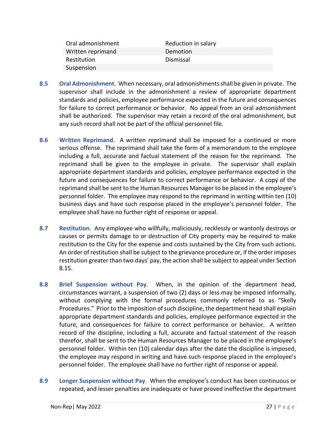| Oral admonishment | Reduction in salary |
|-------------------|---------------------|
| Written reprimand | Demotion            |
| Restitution       | Dismissal           |
| Suspension        |                     |

- <span id="page-27-0"></span>**8.5 Oral Admonishment**. When necessary, oral admonishments shall be given in private. The supervisor shall include in the admonishment a review of appropriate department standards and policies, employee performance expected in the future and consequences for failure to correct performance or behavior. No appeal from an oral admonishment shall be authorized. The supervisor may retain a record of the oral admonishment, but any such record shall not be part of the official personnel file.
- <span id="page-27-1"></span>**8.6 Written Reprimand**. A written reprimand shall be imposed for a continued or more serious offense. The reprimand shall take the form of a memorandum to the employee including a full, accurate and factual statement of the reason for the reprimand. The reprimand shall be given to the employee in private. The supervisor shall explain appropriate department standards and policies, employee performance expected in the future and consequences for failure to correct performance or behavior. A copy of the reprimand shall be sent to the Human Resources Manager to be placed in the employee's personnel folder. The employee may respond to the reprimand in writing within ten (10) business days and have such response placed in the employee's personnel folder. The employee shall have no further right of response or appeal.
- <span id="page-27-2"></span>**8.7 Restitution**. Any employee who willfully, maliciously, recklessly or wantonly destroys or causes or permits damage to or destruction of City property may be required to make restitution to the City for the expense and costs sustained by the City from such actions. An order of restitution shall be subject to the grievance procedure or, if the order imposes restitution greater than two days' pay, the action shall be subject to appeal under Section 8.15.
- <span id="page-27-3"></span>**8.8 Brief Suspension without Pay**. When, in the opinion of the department head, circumstances warrant, a suspension of two (2) days or less may be imposed informally, without complying with the formal procedures commonly referred to as "Skelly Procedures." Prior to the imposition of such discipline, the department head shall explain appropriate department standards and policies, employee performance expected in the future, and consequences for failure to correct performance or behavior. A written record of the discipline, including a full, accurate and factual statement of the reason therefor, shall be sent to the Human Resources Manager to be placed in the employee's personnel folder. Within ten (10) calendar days after the date the discipline is imposed, the employee may respond in writing and have such response placed in the employee's personnel folder. The employee shall have no further right of response or appeal.
- <span id="page-27-4"></span>**8.9 Longer Suspension without Pay**. When the employee's conduct has been continuous or repeated, and lesser penalties are inadequate or have proved ineffective the department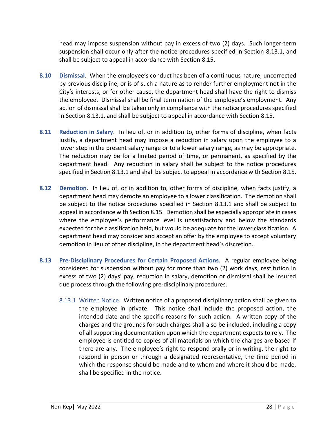head may impose suspension without pay in excess of two (2) days. Such longer-term suspension shall occur only after the notice procedures specified in Section 8.13.1, and shall be subject to appeal in accordance with Section 8.15.

- <span id="page-28-0"></span>**8.10 Dismissal**. When the employee's conduct has been of a continuous nature, uncorrected by previous discipline, or is of such a nature as to render further employment not in the City's interests, or for other cause, the department head shall have the right to dismiss the employee. Dismissal shall be final termination of the employee's employment. Any action of dismissal shall be taken only in compliance with the notice procedures specified in Section 8.13.1, and shall be subject to appeal in accordance with Section 8.15.
- <span id="page-28-1"></span>**8.11 Reduction in Salary**. In lieu of, or in addition to, other forms of discipline, when facts justify, a department head may impose a reduction in salary upon the employee to a lower step in the present salary range or to a lower salary range, as may be appropriate. The reduction may be for a limited period of time, or permanent, as specified by the department head. Any reduction in salary shall be subject to the notice procedures specified in Section 8.13.1 and shall be subject to appeal in accordance with Section 8.15.
- <span id="page-28-2"></span>**8.12 Demotion**. In lieu of, or in addition to, other forms of discipline, when facts justify, a department head may demote an employee to a lower classification. The demotion shall be subject to the notice procedures specified in Section 8.13.1 and shall be subject to appeal in accordance with Section 8.15. Demotion shall be especially appropriate in cases where the employee's performance level is unsatisfactory and below the standards expected for the classification held, but would be adequate for the lower classification. A department head may consider and accept an offer by the employee to accept voluntary demotion in lieu of other discipline, in the department head's discretion.
- <span id="page-28-3"></span>**8.13 Pre-Disciplinary Procedures for Certain Proposed Actions**. A regular employee being considered for suspension without pay for more than two (2) work days, restitution in excess of two (2) days' pay, reduction in salary, demotion or dismissal shall be insured due process through the following pre-disciplinary procedures.
	- 8.13.1 Written Notice. Written notice of a proposed disciplinary action shall be given to the employee in private. This notice shall include the proposed action, the intended date and the specific reasons for such action. A written copy of the charges and the grounds for such charges shall also be included, including a copy of all supporting documentation upon which the department expects to rely. The employee is entitled to copies of all materials on which the charges are based if there are any. The employee's right to respond orally or in writing, the right to respond in person or through a designated representative, the time period in which the response should be made and to whom and where it should be made, shall be specified in the notice.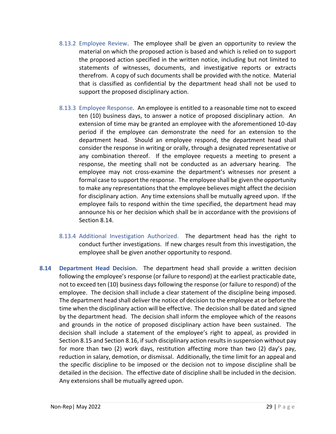- 8.13.2 Employee Review. The employee shall be given an opportunity to review the material on which the proposed action is based and which is relied on to support the proposed action specified in the written notice, including but not limited to statements of witnesses, documents, and investigative reports or extracts therefrom. A copy of such documents shall be provided with the notice. Material that is classified as confidential by the department head shall not be used to support the proposed disciplinary action.
- 8.13.3 Employee Response. An employee is entitled to a reasonable time not to exceed ten (10) business days, to answer a notice of proposed disciplinary action. An extension of time may be granted an employee with the aforementioned 10-day period if the employee can demonstrate the need for an extension to the department head. Should an employee respond, the department head shall consider the response in writing or orally, through a designated representative or any combination thereof. If the employee requests a meeting to present a response, the meeting shall not be conducted as an adversary hearing. The employee may not cross-examine the department's witnesses nor present a formal case to support the response. The employee shall be given the opportunity to make any representations that the employee believes might affect the decision for disciplinary action. Any time extensions shall be mutually agreed upon. If the employee fails to respond within the time specified, the department head may announce his or her decision which shall be in accordance with the provisions of Section 8.14.
- 8.13.4 Additional Investigation Authorized. The department head has the right to conduct further investigations. If new charges result from this investigation, the employee shall be given another opportunity to respond.
- <span id="page-29-0"></span>**8.14 Department Head Decision**. The department head shall provide a written decision following the employee's response (or failure to respond) at the earliest practicable date, not to exceed ten (10) business days following the response (or failure to respond) of the employee. The decision shall include a clear statement of the discipline being imposed. The department head shall deliver the notice of decision to the employee at or before the time when the disciplinary action will be effective. The decision shall be dated and signed by the department head. The decision shall inform the employee which of the reasons and grounds in the notice of proposed disciplinary action have been sustained. The decision shall include a statement of the employee's right to appeal, as provided in Section 8.15 and Section 8.16, if such disciplinary action results in suspension without pay for more than two (2) work days, restitution affecting more than two (2) day's pay, reduction in salary, demotion, or dismissal. Additionally, the time limit for an appeal and the specific discipline to be imposed or the decision not to impose discipline shall be detailed in the decision. The effective date of discipline shall be included in the decision. Any extensions shall be mutually agreed upon.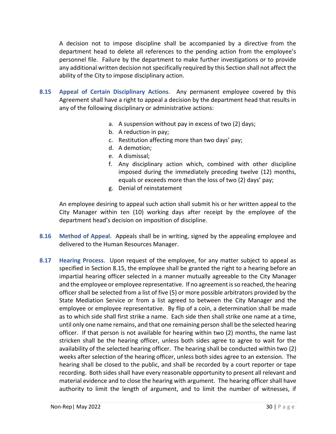A decision not to impose discipline shall be accompanied by a directive from the department head to delete all references to the pending action from the employee's personnel file. Failure by the department to make further investigations or to provide any additional written decision not specifically required by this Section shall not affect the ability of the City to impose disciplinary action.

- <span id="page-30-0"></span>**8.15 Appeal of Certain Disciplinary Actions**. Any permanent employee covered by this Agreement shall have a right to appeal a decision by the department head that results in any of the following disciplinary or administrative actions:
	- a. A suspension without pay in excess of two (2) days;
	- b. A reduction in pay;
	- c. Restitution affecting more than two days' pay;
	- d. A demotion;
	- e. A dismissal;
	- f. Any disciplinary action which, combined with other discipline imposed during the immediately preceding twelve (12) months, equals or exceeds more than the loss of two (2) days' pay;
	- g. Denial of reinstatement

An employee desiring to appeal such action shall submit his or her written appeal to the City Manager within ten (10) working days after receipt by the employee of the department head's decision on imposition of discipline.

- <span id="page-30-1"></span>**8.16 Method of Appeal**. Appeals shall be in writing, signed by the appealing employee and delivered to the Human Resources Manager.
- <span id="page-30-2"></span>**8.17 Hearing Process**. Upon request of the employee, for any matter subject to appeal as specified in Section 8.15, the employee shall be granted the right to a hearing before an impartial hearing officer selected in a manner mutually agreeable to the City Manager and the employee or employee representative. If no agreement is so reached, the hearing officer shall be selected from a list of five (5) or more possible arbitrators provided by the State Mediation Service or from a list agreed to between the City Manager and the employee or employee representative. By flip of a coin, a determination shall be made as to which side shall first strike a name. Each side then shall strike one name at a time, until only one name remains, and that one remaining person shall be the selected hearing officer. If that person is not available for hearing within two (2) months, the name last stricken shall be the hearing officer, unless both sides agree to agree to wait for the availability of the selected hearing officer. The hearing shall be conducted within two (2) weeks after selection of the hearing officer, unless both sides agree to an extension. The hearing shall be closed to the public, and shall be recorded by a court reporter or tape recording. Both sides shall have every reasonable opportunity to present all relevant and material evidence and to close the hearing with argument. The hearing officer shall have authority to limit the length of argument, and to limit the number of witnesses, if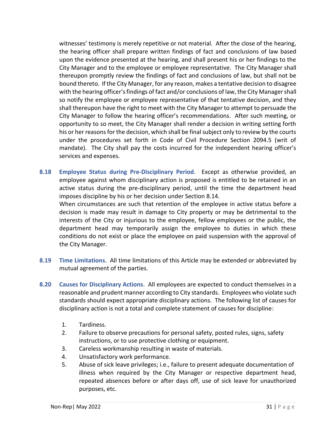witnesses' testimony is merely repetitive or not material. After the close of the hearing, the hearing officer shall prepare written findings of fact and conclusions of law based upon the evidence presented at the hearing, and shall present his or her findings to the City Manager and to the employee or employee representative. The City Manager shall thereupon promptly review the findings of fact and conclusions of law, but shall not be bound thereto. If the City Manager, for any reason, makes a tentative decision to disagree with the hearing officer's findings of fact and/or conclusions of law, the City Manager shall so notify the employee or employee representative of that tentative decision, and they shall thereupon have the right to meet with the City Manager to attempt to persuade the City Manager to follow the hearing officer's recommendations. After such meeting, or opportunity to so meet, the City Manager shall render a decision in writing setting forth his or her reasons for the decision, which shall be final subject only to review by the courts under the procedures set forth in Code of Civil Procedure Section 2094.5 (writ of mandate). The City shall pay the costs incurred for the independent hearing officer's services and expenses.

<span id="page-31-0"></span>**8.18 Employee Status during Pre-Disciplinary Period**. Except as otherwise provided, an employee against whom disciplinary action is proposed is entitled to be retained in an active status during the pre-disciplinary period, until the time the department head imposes discipline by his or her decision under Section 8.14.

When circumstances are such that retention of the employee in active status before a decision is made may result in damage to City property or may be detrimental to the interests of the City or injurious to the employee, fellow employees or the public, the department head may temporarily assign the employee to duties in which these conditions do not exist or place the employee on paid suspension with the approval of the City Manager.

- <span id="page-31-1"></span>**8.19 Time Limitations**. All time limitations of this Article may be extended or abbreviated by mutual agreement of the parties.
- <span id="page-31-2"></span>**8.20 Causes for Disciplinary Actions**. All employees are expected to conduct themselves in a reasonable and prudent manner according to City standards. Employees who violate such standards should expect appropriate disciplinary actions. The following list of causes for disciplinary action is not a total and complete statement of causes for discipline:
	- 1. Tardiness.
	- 2. Failure to observe precautions for personal safety, posted rules, signs, safety instructions, or to use protective clothing or equipment.
	- 3. Careless workmanship resulting in waste of materials.
	- 4. Unsatisfactory work performance.
	- 5. Abuse of sick leave privileges; i.e., failure to present adequate documentation of illness when required by the City Manager or respective department head, repeated absences before or after days off, use of sick leave for unauthorized purposes, etc.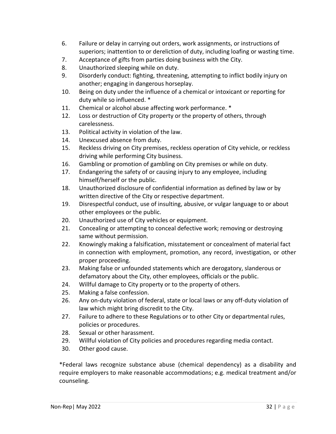- 6. Failure or delay in carrying out orders, work assignments, or instructions of superiors; inattention to or dereliction of duty, including loafing or wasting time.
- 7. Acceptance of gifts from parties doing business with the City.
- 8. Unauthorized sleeping while on duty.
- 9. Disorderly conduct: fighting, threatening, attempting to inflict bodily injury on another; engaging in dangerous horseplay.
- 10. Being on duty under the influence of a chemical or intoxicant or reporting for duty while so influenced. \*
- 11. Chemical or alcohol abuse affecting work performance. \*
- 12. Loss or destruction of City property or the property of others, through carelessness.
- 13. Political activity in violation of the law.
- 14. Unexcused absence from duty.
- 15. Reckless driving on City premises, reckless operation of City vehicle, or reckless driving while performing City business.
- 16. Gambling or promotion of gambling on City premises or while on duty.
- 17. Endangering the safety of or causing injury to any employee, including himself/herself or the public.
- 18. Unauthorized disclosure of confidential information as defined by law or by written directive of the City or respective department.
- 19. Disrespectful conduct, use of insulting, abusive, or vulgar language to or about other employees or the public.
- 20. Unauthorized use of City vehicles or equipment.
- 21. Concealing or attempting to conceal defective work; removing or destroying same without permission.
- 22. Knowingly making a falsification, misstatement or concealment of material fact in connection with employment, promotion, any record, investigation, or other proper proceeding.
- 23. Making false or unfounded statements which are derogatory, slanderous or defamatory about the City, other employees, officials or the public.
- 24. Willful damage to City property or to the property of others.
- 25. Making a false confession.
- 26. Any on-duty violation of federal, state or local laws or any off-duty violation of law which might bring discredit to the City.
- 27. Failure to adhere to these Regulations or to other City or departmental rules, policies or procedures.
- 28. Sexual or other harassment.
- 29. Willful violation of City policies and procedures regarding media contact.
- 30. Other good cause.

\*Federal laws recognize substance abuse (chemical dependency) as a disability and require employers to make reasonable accommodations; e.g. medical treatment and/or counseling.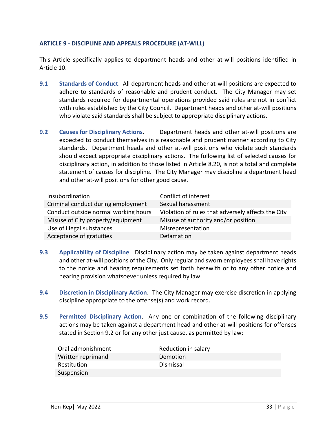#### <span id="page-33-0"></span>**ARTICLE 9 - DISCIPLINE AND APPEALS PROCEDURE (AT-WILL)**

This Article specifically applies to department heads and other at-will positions identified in Article 10.

- <span id="page-33-1"></span>**9.1 Standards of Conduct**. All department heads and other at-will positions are expected to adhere to standards of reasonable and prudent conduct. The City Manager may set standards required for departmental operations provided said rules are not in conflict with rules established by the City Council. Department heads and other at-will positions who violate said standards shall be subject to appropriate disciplinary actions.
- <span id="page-33-2"></span>**9.2 Causes for Disciplinary Actions**. Department heads and other at-will positions are expected to conduct themselves in a reasonable and prudent manner according to City standards. Department heads and other at-will positions who violate such standards should expect appropriate disciplinary actions. The following list of selected causes for disciplinary action, in addition to those listed in Article 8.20, is not a total and complete statement of causes for discipline. The City Manager may discipline a department head and other at-will positions for other good cause.

| Insubordination                      | Conflict of interest                               |
|--------------------------------------|----------------------------------------------------|
| Criminal conduct during employment   | Sexual harassment                                  |
| Conduct outside normal working hours | Violation of rules that adversely affects the City |
| Misuse of City property/equipment    | Misuse of authority and/or position                |
| Use of illegal substances            | Misrepresentation                                  |
| Acceptance of gratuities             | Defamation                                         |

- <span id="page-33-3"></span>**9.3 Applicability of Discipline**. Disciplinary action may be taken against department heads and other at-will positions of the City. Only regular and sworn employees shall have rights to the notice and hearing requirements set forth herewith or to any other notice and hearing provision whatsoever unless required by law.
- <span id="page-33-4"></span>**9.4 Discretion in Disciplinary Action**. The City Manager may exercise discretion in applying discipline appropriate to the offense(s) and work record.
- <span id="page-33-5"></span>**9.5 Permitted Disciplinary Action**. Any one or combination of the following disciplinary actions may be taken against a department head and other at-will positions for offenses stated in Section 9.2 or for any other just cause, as permitted by law:

| Oral admonishment | Reduction in salary |
|-------------------|---------------------|
| Written reprimand | Demotion            |
| Restitution       | Dismissal           |
| Suspension        |                     |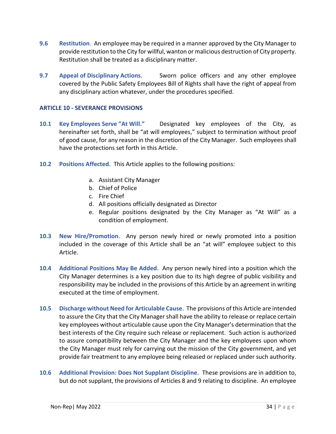- <span id="page-34-0"></span>**9.6 Restitution**. An employee may be required in a manner approved by the City Manager to provide restitution to the City for willful, wanton or malicious destruction of City property. Restitution shall be treated as a disciplinary matter.
- <span id="page-34-1"></span>**9.7 Appeal of Disciplinary Actions**. Sworn police officers and any other employee covered by the Public Safety Employees Bill of Rights shall have the right of appeal from any disciplinary action whatever, under the procedures specified.

# <span id="page-34-2"></span>**ARTICLE 10 - SEVERANCE PROVISIONS**

- <span id="page-34-3"></span>**10.1 Key Employees Serve "At Will."** Designated key employees of the City, as hereinafter set forth, shall be "at will employees," subject to termination without proof of good cause, for any reason in the discretion of the City Manager. Such employees shall have the protections set forth in this Article.
- <span id="page-34-4"></span>**10.2 Positions Affected**. This Article applies to the following positions:
	- a. Assistant City Manager
	- b. Chief of Police
	- c. Fire Chief
	- d. All positions officially designated as Director
	- e. Regular positions designated by the City Manager as "At Will" as a condition of employment.
- <span id="page-34-5"></span>**10.3 New Hire/Promotion**. Any person newly hired or newly promoted into a position included in the coverage of this Article shall be an "at will" employee subject to this Article.
- <span id="page-34-6"></span>**10.4 Additional Positions May Be Added**. Any person newly hired into a position which the City Manager determines is a key position due to its high degree of public visibility and responsibility may be included in the provisions of this Article by an agreement in writing executed at the time of employment.
- <span id="page-34-7"></span>**10.5 Discharge without Need for Articulable Cause**. The provisions of this Article are intended to assure the City that the City Manager shall have the ability to release or replace certain key employees without articulable cause upon the City Manager's determination that the best interests of the City require such release or replacement. Such action is authorized to assure compatibility between the City Manager and the key employees upon whom the City Manager must rely for carrying out the mission of the City government, and yet provide fair treatment to any employee being released or replaced under such authority.
- <span id="page-34-8"></span>**10.6 Additional Provision: Does Not Supplant Discipline**. These provisions are in addition to, but do not supplant, the provisions of Articles 8 and 9 relating to discipline. An employee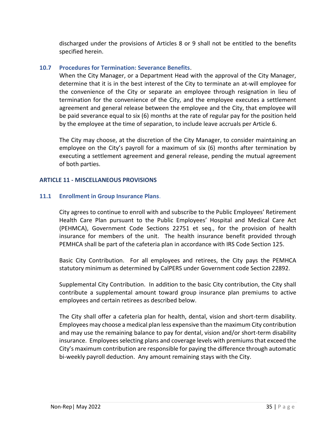discharged under the provisions of Articles 8 or 9 shall not be entitled to the benefits specified herein.

# <span id="page-35-0"></span>**10.7 Procedures for Termination: Severance Benefits**.

When the City Manager, or a Department Head with the approval of the City Manager, determine that it is in the best interest of the City to terminate an at-will employee for the convenience of the City or separate an employee through resignation in lieu of termination for the convenience of the City, and the employee executes a settlement agreement and general release between the employee and the City, that employee will be paid severance equal to six (6) months at the rate of regular pay for the position held by the employee at the time of separation, to include leave accruals per Article 6.

The City may choose, at the discretion of the City Manager, to consider maintaining an employee on the City's payroll for a maximum of six (6) months after termination by executing a settlement agreement and general release, pending the mutual agreement of both parties.

#### <span id="page-35-1"></span>**ARTICLE 11 - MISCELLANEOUS PROVISIONS**

# <span id="page-35-2"></span>**11.1 Enrollment in Group Insurance Plans**.

City agrees to continue to enroll with and subscribe to the Public Employees' Retirement Health Care Plan pursuant to the Public Employees' Hospital and Medical Care Act (PEHMCA), Government Code Sections 22751 et seq., for the provision of health insurance for members of the unit. The health insurance benefit provided through PEMHCA shall be part of the cafeteria plan in accordance with IRS Code Section 125.

Basic City Contribution. For all employees and retirees, the City pays the PEMHCA statutory minimum as determined by CalPERS under Government code Section 22892.

Supplemental City Contribution. In addition to the basic City contribution, the City shall contribute a supplemental amount toward group insurance plan premiums to active employees and certain retirees as described below.

The City shall offer a cafeteria plan for health, dental, vision and short-term disability. Employees may choose a medical plan less expensive than the maximum City contribution and may use the remaining balance to pay for dental, vision and/or short-term disability insurance. Employees selecting plans and coverage levels with premiums that exceed the City's maximum contribution are responsible for paying the difference through automatic bi-weekly payroll deduction. Any amount remaining stays with the City.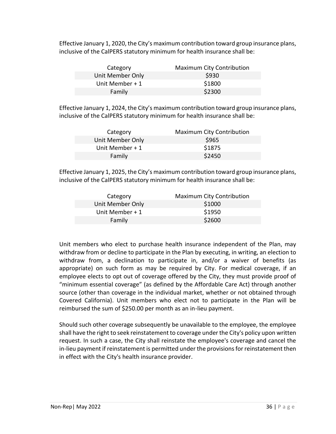Effective January 1, 2020, the City's maximum contribution toward group insurance plans, inclusive of the CalPERS statutory minimum for health insurance shall be:

| Category         | <b>Maximum City Contribution</b> |
|------------------|----------------------------------|
| Unit Member Only | \$930                            |
| Unit Member + 1  | \$1800                           |
| Family           | \$2300                           |

Effective January 1, 2024, the City's maximum contribution toward group insurance plans, inclusive of the CalPERS statutory minimum for health insurance shall be:

| Category         | <b>Maximum City Contribution</b> |
|------------------|----------------------------------|
| Unit Member Only | \$965                            |
| Unit Member $+1$ | \$1875                           |
| Family           | \$2450                           |

Effective January 1, 2025, the City's maximum contribution toward group insurance plans, inclusive of the CalPERS statutory minimum for health insurance shall be:

| Category         | <b>Maximum City Contribution</b> |
|------------------|----------------------------------|
| Unit Member Only | \$1000                           |
| Unit Member $+1$ | \$1950                           |
| Family           | \$2600                           |

Unit members who elect to purchase health insurance independent of the Plan, may withdraw from or decline to participate in the Plan by executing, in writing, an election to withdraw from, a declination to participate in, and/or a waiver of benefits (as appropriate) on such form as may be required by City. For medical coverage, if an employee elects to opt out of coverage offered by the City, they must provide proof of "minimum essential coverage" (as defined by the Affordable Care Act) through another source (other than coverage in the individual market, whether or not obtained through Covered California). Unit members who elect not to participate in the Plan will be reimbursed the sum of \$250.00 per month as an in-lieu payment.

Should such other coverage subsequently be unavailable to the employee, the employee shall have the right to seek reinstatement to coverage under the City's policy upon written request. In such a case, the City shall reinstate the employee's coverage and cancel the in-lieu payment if reinstatement is permitted under the provisions for reinstatement then in effect with the City's health insurance provider.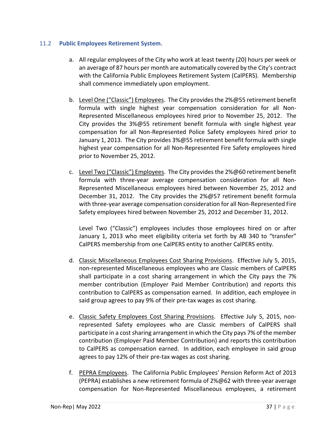# <span id="page-37-0"></span>11.2 **Public Employees Retirement System**.

- a. All regular employees of the City who work at least twenty (20) hours per week or an average of 87 hours per month are automatically covered by the City's contract with the California Public Employees Retirement System (CalPERS). Membership shall commence immediately upon employment.
- b. Level One ("Classic") Employees. The City provides the 2%@55 retirement benefit formula with single highest year compensation consideration for all Non-Represented Miscellaneous employees hired prior to November 25, 2012. The City provides the 3%@55 retirement benefit formula with single highest year compensation for all Non-Represented Police Safety employees hired prior to January 1, 2013. The City provides 3%@55 retirement benefit formula with single highest year compensation for all Non-Represented Fire Safety employees hired prior to November 25, 2012.
- c. Level Two ("Classic") Employees. The City provides the  $2\%@60$  retirement benefit formula with three-year average compensation consideration for all Non-Represented Miscellaneous employees hired between November 25, 2012 and December 31, 2012. The City provides the 2%@57 retirement benefit formula with three-year average compensation consideration for all Non-Represented Fire Safety employees hired between November 25, 2012 and December 31, 2012.

Level Two ("Classic") employees includes those employees hired on or after January 1, 2013 who meet eligibility criteria set forth by AB 340 to "transfer" CalPERS membership from one CalPERS entity to another CalPERS entity.

- d. Classic Miscellaneous Employees Cost Sharing Provisions. Effective July 5, 2015, non-represented Miscellaneous employees who are Classic members of CalPERS shall participate in a cost sharing arrangement in which the City pays the 7% member contribution (Employer Paid Member Contribution) and reports this contribution to CalPERS as compensation earned. In addition, each employee in said group agrees to pay 9% of their pre-tax wages as cost sharing.
- e. Classic Safety Employees Cost Sharing Provisions. Effective July 5, 2015, nonrepresented Safety employees who are Classic members of CalPERS shall participate in a cost sharing arrangement in which the City pays 7% of the member contribution (Employer Paid Member Contribution) and reports this contribution to CalPERS as compensation earned. In addition, each employee in said group agrees to pay 12% of their pre-tax wages as cost sharing.
- f. PEPRA Employees. The California Public Employees' Pension Reform Act of 2013 (PEPRA) establishes a new retirement formula of 2%@62 with three-year average compensation for Non-Represented Miscellaneous employees, a retirement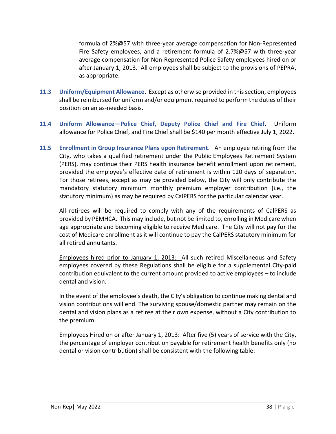formula of 2%@57 with three-year average compensation for Non-Represented Fire Safety employees, and a retirement formula of 2.7%@57 with three-year average compensation for Non-Represented Police Safety employees hired on or after January 1, 2013. All employees shall be subject to the provisions of PEPRA, as appropriate.

- <span id="page-38-0"></span>**11.3 Uniform/Equipment Allowance**. Except as otherwise provided in this section, employees shall be reimbursed for uniform and/or equipment required to perform the duties of their position on an as-needed basis.
- <span id="page-38-1"></span>**11.4 Uniform Allowance—Police Chief, Deputy Police Chief and Fire Chief**. Uniform allowance for Police Chief, and Fire Chief shall be \$140 per month effective July 1, 2022.
- <span id="page-38-2"></span>**11.5 Enrollment in Group Insurance Plans upon Retirement**. An employee retiring from the City, who takes a qualified retirement under the Public Employees Retirement System (PERS), may continue their PERS health insurance benefit enrollment upon retirement, provided the employee's effective date of retirement is within 120 days of separation. For those retirees, except as may be provided below, the City will only contribute the mandatory statutory minimum monthly premium employer contribution (i.e., the statutory minimum) as may be required by CalPERS for the particular calendar year.

All retirees will be required to comply with any of the requirements of CalPERS as provided by PEMHCA. This may include, but not be limited to, enrolling in Medicare when age appropriate and becoming eligible to receive Medicare. The City will not pay for the cost of Medicare enrollment as it will continue to pay the CalPERS statutory minimum for all retired annuitants.

Employees hired prior to January 1, 2013: All such retired Miscellaneous and Safety employees covered by these Regulations shall be eligible for a supplemental City-paid contribution equivalent to the current amount provided to active employees – to include dental and vision.

In the event of the employee's death, the City's obligation to continue making dental and vision contributions will end. The surviving spouse/domestic partner may remain on the dental and vision plans as a retiree at their own expense, without a City contribution to the premium.

Employees Hired on or after January 1, 2013: After five (5) years of service with the City, the percentage of employer contribution payable for retirement health benefits only (no dental or vision contribution) shall be consistent with the following table: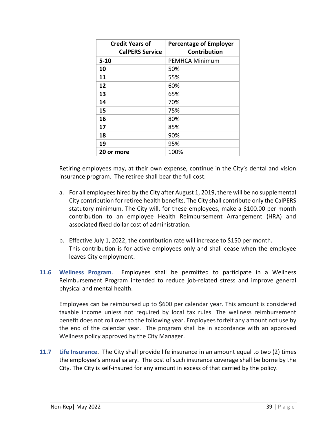| <b>Credit Years of</b><br><b>CalPERS Service</b> | <b>Percentage of Employer</b><br><b>Contribution</b> |
|--------------------------------------------------|------------------------------------------------------|
| $5 - 10$                                         | <b>PEMHCA Minimum</b>                                |
| 10                                               | 50%                                                  |
| 11                                               | 55%                                                  |
| 12                                               | 60%                                                  |
| 13                                               | 65%                                                  |
| 14                                               | 70%                                                  |
| 15                                               | 75%                                                  |
| 16                                               | 80%                                                  |
| 17                                               | 85%                                                  |
| 18                                               | 90%                                                  |
| 19                                               | 95%                                                  |
| 20 or more                                       | 100%                                                 |

Retiring employees may, at their own expense, continue in the City's dental and vision insurance program. The retiree shall bear the full cost.

- a. For all employees hired by the City after August 1, 2019, there will be no supplemental City contribution for retiree health benefits. The City shall contribute only the CalPERS statutory minimum. The City will, for these employees, make a \$100.00 per month contribution to an employee Health Reimbursement Arrangement (HRA) and associated fixed dollar cost of administration.
- b. Effective July 1, 2022, the contribution rate will increase to \$150 per month. This contribution is for active employees only and shall cease when the employee leaves City employment.
- <span id="page-39-0"></span>**11.6 Wellness Program**. Employees shall be permitted to participate in a Wellness Reimbursement Program intended to reduce job-related stress and improve general physical and mental health.

Employees can be reimbursed up to \$600 per calendar year. This amount is considered taxable income unless not required by local tax rules. The wellness reimbursement benefit does not roll over to the following year. Employees forfeit any amount not use by the end of the calendar year. The program shall be in accordance with an approved Wellness policy approved by the City Manager.

<span id="page-39-1"></span>**11.7 Life Insurance**. The City shall provide life insurance in an amount equal to two (2) times the employee's annual salary. The cost of such insurance coverage shall be borne by the City. The City is self-insured for any amount in excess of that carried by the policy.